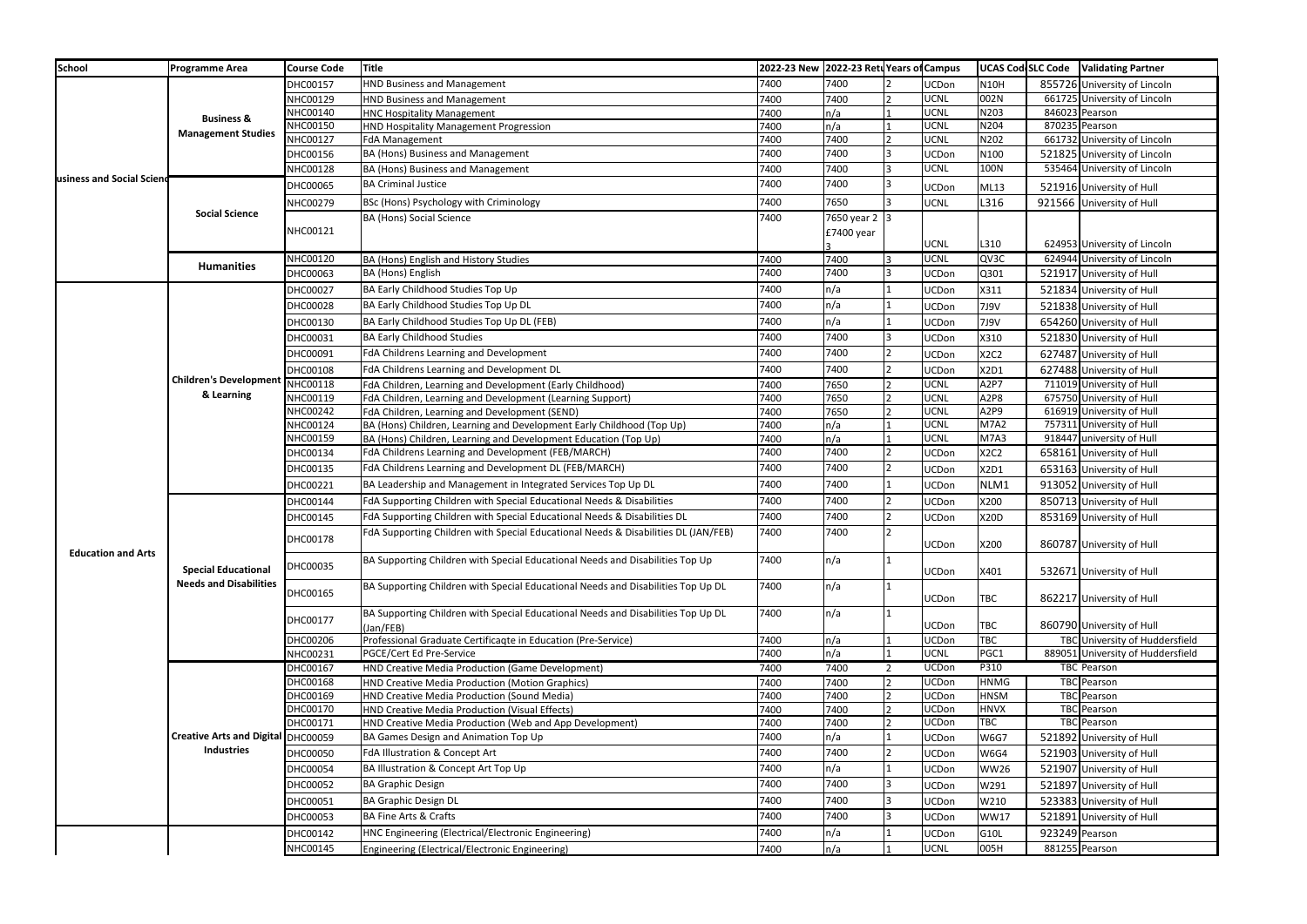| <b>School</b>             | <b>Programme Area</b>                                       | <b>Course Code</b>   | <b>Title</b>                                                                                                                             |              | 2022-23 New 2022-23 Retu Years of Campus |                |                            | UCAS Cod SLC Code   Validating Partner |                |                                                        |
|---------------------------|-------------------------------------------------------------|----------------------|------------------------------------------------------------------------------------------------------------------------------------------|--------------|------------------------------------------|----------------|----------------------------|----------------------------------------|----------------|--------------------------------------------------------|
| usiness and Social Scien  |                                                             | DHC00157             | <b>HND Business and Management</b>                                                                                                       | 7400         | 7400                                     |                | <b>UCDon</b>               | <b>N10H</b>                            |                | 855726 University of Lincoln                           |
|                           |                                                             | NHC00129             | <b>HND Business and Management</b>                                                                                                       | 7400         | 7400                                     |                | <b>UCNL</b>                | 002N                                   |                | 661725 University of Lincoln                           |
|                           | <b>Business &amp;</b><br><b>Management Studies</b>          | NHC00140             | <b>HNC Hospitality Management</b>                                                                                                        | 7400         | $\mathsf{In}/\mathsf{a}$                 |                | <b>UCNL</b>                | N203                                   |                | 846023 Pearson                                         |
|                           |                                                             | NHC00150             | HND Hospitality Management Progression                                                                                                   | 7400         | n/a                                      |                | <b>UCNL</b>                | N204                                   |                | 870235 Pearson                                         |
|                           |                                                             | NHC00127             | <b>FdA Management</b>                                                                                                                    | 7400         | 7400                                     |                | UCNL                       | N202                                   |                | 661732 University of Lincoln                           |
|                           |                                                             | DHC00156             | BA (Hons) Business and Management                                                                                                        | 7400         | 7400                                     |                | <b>UCDon</b>               | N100                                   |                | 521825 University of Lincoln                           |
|                           |                                                             | NHC00128             | BA (Hons) Business and Management                                                                                                        | 7400         | 7400                                     |                | <b>UCNL</b>                | 100N                                   |                | 535464 University of Lincoln                           |
|                           | <b>Social Science</b><br><b>Humanities</b>                  | DHC00065             | <b>BA Criminal Justice</b>                                                                                                               | 7400         | 7400                                     | 3              | <b>UCDon</b>               | <b>ML13</b>                            |                | 521916 University of Hull                              |
|                           |                                                             | NHC00279             | BSc (Hons) Psychology with Criminology                                                                                                   | 7400         | 7650                                     |                | <b>UCNL</b>                | L316                                   |                | 921566 University of Hull                              |
|                           |                                                             | NHC00121             | <b>BA (Hons) Social Science</b>                                                                                                          | 7400         | 7650 year 2 3<br>£7400 year              |                |                            |                                        |                |                                                        |
|                           |                                                             |                      |                                                                                                                                          |              |                                          |                | <b>UCNL</b>                | L310                                   |                | 624953 University of Lincoln                           |
|                           |                                                             | NHC00120             | BA (Hons) English and History Studies                                                                                                    | 7400         | 7400                                     |                | <b>UCNL</b>                | QV3C                                   |                | 624944 University of Lincoln                           |
|                           |                                                             | DHC00063             | BA (Hons) English                                                                                                                        | 7400         | 7400                                     | 13             | <b>UCDon</b>               | Q301                                   |                | 521917 University of Hull                              |
|                           |                                                             | DHC00027             | BA Early Childhood Studies Top Up                                                                                                        | 7400         | n/a                                      |                | <b>UCDon</b>               | X311                                   |                | 521834 University of Hull                              |
|                           |                                                             | DHC00028             | BA Early Childhood Studies Top Up DL                                                                                                     | 7400         | n/a                                      |                | UCDon                      | 7J9V                                   |                | 521838 University of Hull                              |
|                           |                                                             |                      | BA Early Childhood Studies Top Up DL (FEB)                                                                                               | 7400         | n/a                                      |                |                            |                                        |                |                                                        |
|                           |                                                             | DHC00130             |                                                                                                                                          | 7400         | 7400                                     |                | UCDon                      | 7J9V                                   |                | 654260 University of Hull                              |
|                           |                                                             | DHC00031             | <b>BA Early Childhood Studies</b>                                                                                                        |              |                                          |                | UCDon                      | X310                                   |                | 521830 University of Hull                              |
|                           |                                                             | DHC00091             | FdA Childrens Learning and Development                                                                                                   | 7400         | 7400                                     |                | <b>UCDon</b>               | X2C2                                   |                | 627487 University of Hull                              |
|                           | <b>Children's Development</b><br>& Learning                 | DHC00108             | FdA Childrens Learning and Development DL                                                                                                | 7400         | 7400                                     | ר              | UCDon                      | X2D1                                   |                | 627488 University of Hull                              |
|                           |                                                             | NHC00118             | FdA Children, Learning and Development (Early Childhood)                                                                                 | 7400         | 7650                                     |                | <b>UCNL</b>                | A <sub>2</sub> P <sub>7</sub>          |                | 711019 University of Hull                              |
|                           |                                                             | NHC00119             | FdA Children, Learning and Development (Learning Support)                                                                                | 7400         | 7650                                     |                | <b>UCNL</b>                | A2P8                                   |                | 675750 University of Hull                              |
|                           |                                                             | NHC00242<br>NHC00124 | FdA Children, Learning and Development (SEND)                                                                                            | 7400<br>7400 | 7650                                     |                | <b>UCNL</b><br><b>UCNL</b> | A2P9<br><b>M7A2</b>                    |                | 616919 University of Hull<br>757311 University of Hull |
|                           |                                                             | NHC00159             | BA (Hons) Children, Learning and Development Early Childhood (Top Up)<br>BA (Hons) Children, Learning and Development Education (Top Up) | 7400         | n/a<br>$\mathsf{In}/\mathsf{a}$          |                | <b>UCNL</b>                | M7A3                                   |                | 918447 university of Hull                              |
|                           |                                                             | DHC00134             | FdA Childrens Learning and Development (FEB/MARCH)                                                                                       | 7400         | 7400                                     |                | UCDon                      | X2C2                                   |                | 658161 University of Hull                              |
|                           |                                                             | DHC00135             | FdA Childrens Learning and Development DL (FEB/MARCH)                                                                                    | 7400         | 7400                                     |                | UCDon                      | X2D1                                   |                | 653163 University of Hull                              |
|                           |                                                             |                      | BA Leadership and Management in Integrated Services Top Up DL                                                                            | 7400         | 7400                                     |                | UCDon                      | NLM1                                   |                | 913052 University of Hull                              |
|                           |                                                             | DHC00221             |                                                                                                                                          |              |                                          |                |                            |                                        |                |                                                        |
|                           |                                                             | DHC00144             | FdA Supporting Children with Special Educational Needs & Disabilities                                                                    | 7400         | 7400                                     |                | <b>UCDon</b>               | X200                                   |                | 850713 University of Hull                              |
|                           |                                                             | DHC00145             | FdA Supporting Children with Special Educational Needs & Disabilities DL                                                                 | 7400         | 7400                                     |                | UCDon                      | X20D                                   |                | 853169 University of Hull                              |
| <b>Education and Arts</b> | <b>Special Educational</b><br><b>Needs and Disabilities</b> | DHC00178             | FdA Supporting Children with Special Educational Needs & Disabilities DL (JAN/FEB)                                                       | 7400         | 7400                                     |                | <b>UCDon</b>               | X200                                   |                | 860787 University of Hull                              |
|                           |                                                             | DHC00035             | BA Supporting Children with Special Educational Needs and Disabilities Top Up                                                            | 7400         | $\mathsf{In}/\mathsf{a}$                 |                | <b>UCDon</b>               | X401                                   |                | 532671 University of Hull                              |
|                           |                                                             | DHC00165             | BA Supporting Children with Special Educational Needs and Disabilities Top Up DL                                                         | 7400         | n/a                                      |                |                            |                                        |                |                                                        |
|                           |                                                             |                      |                                                                                                                                          |              |                                          |                | <b>UCDon</b>               | <b>TBC</b>                             |                | 862217 University of Hull                              |
|                           |                                                             | DHC00177             | BA Supporting Children with Special Educational Needs and Disabilities Top Up DL<br>(Jan/FEB)                                            | 7400         | $\mathsf{In}/\mathsf{a}$                 |                | <b>UCDon</b>               | <b>TBC</b>                             |                | 860790 University of Hull                              |
|                           |                                                             | DHC00206             | Professional Graduate Certificagte in Education (Pre-Service)                                                                            | 7400         | $\mathsf{In}/\mathsf{a}$                 |                | <b>UCDon</b>               | <b>TBC</b>                             |                | TBC University of Huddersfield                         |
|                           |                                                             | NHC00231             | PGCE/Cert Ed Pre-Service                                                                                                                 | 7400         | n/a                                      |                | <b>UCNL</b>                | PGC1                                   |                | 889051 University of Huddersfield                      |
|                           | Creative Arts and Digital DHC00059<br><b>Industries</b>     | DHC00167             | HND Creative Media Production (Game Development)                                                                                         | 7400         | 7400                                     | $\overline{2}$ | UCDon                      | P310                                   |                | <b>TBC Pearson</b>                                     |
|                           |                                                             | DHC00168             | HND Creative Media Production (Motion Graphics)                                                                                          | 7400         | 7400                                     |                | <b>UCDon</b>               | <b>HNMG</b>                            |                | TBC Pearson                                            |
|                           |                                                             | DHC00169             | HND Creative Media Production (Sound Media)                                                                                              | 7400         | 7400                                     |                | <b>UCDon</b>               | <b>HNSM</b>                            |                | TBC Pearson                                            |
|                           |                                                             | DHC00170             | HND Creative Media Production (Visual Effects)                                                                                           | 7400         | 7400                                     |                | UCDon                      | <b>HNVX</b>                            |                | TBC Pearson                                            |
|                           |                                                             | DHC00171             | HND Creative Media Production (Web and App Development)                                                                                  | 7400         | 7400                                     |                | UCDon                      | TBC                                    |                | TBC Pearson                                            |
|                           |                                                             |                      | BA Games Design and Animation Top Up                                                                                                     | 7400         | n/a                                      |                | UCDon                      | <b>W6G7</b>                            |                | 521892 University of Hull                              |
|                           |                                                             | <b>DHC00050</b>      | FdA Illustration & Concept Art                                                                                                           | 7400         | 7400                                     |                | <b>UCDon</b>               | <b>W6G4</b>                            |                | 521903 University of Hull                              |
|                           |                                                             | DHC00054             | BA Illustration & Concept Art Top Up                                                                                                     | 7400         | n/a                                      |                | UCDon                      | <b>WW26</b>                            |                | 521907 University of Hull                              |
|                           |                                                             | DHC00052             | <b>BA Graphic Design</b>                                                                                                                 | 7400         | 7400                                     |                | <b>UCDon</b>               | W291                                   |                | 521897 University of Hull                              |
|                           |                                                             | DHC00051             | <b>BA Graphic Design DL</b>                                                                                                              | 7400         | 7400                                     |                | <b>UCDon</b>               | W210                                   |                | 523383 University of Hull                              |
|                           |                                                             | DHC00053             | <b>BA Fine Arts &amp; Crafts</b>                                                                                                         | 7400         | 7400                                     |                | <b>UCDon</b>               | <b>WW17</b>                            |                | 521891 University of Hull                              |
|                           |                                                             | DHC00142             | HNC Engineering (Electrical/Electronic Engineering)                                                                                      | 7400         | n/a                                      |                | UCDon                      | G10L                                   | 923249 Pearson |                                                        |
|                           |                                                             | NHC00145             | Engineering (Electrical/Electronic Engineering)                                                                                          | 7400         | n/a                                      |                | <b>UCNL</b>                | 005H                                   |                | 881255 Pearson                                         |